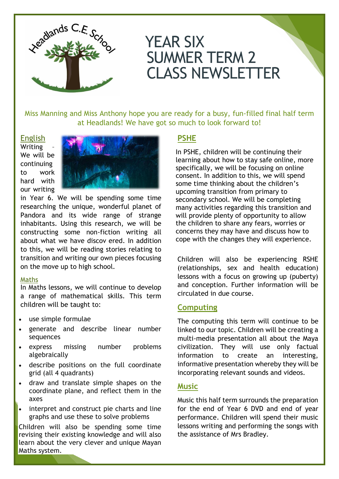

# YEAR SIX SUMMER TERM 2 CLASS NEWSLETTER

Miss Manning and Miss Anthony hope you are ready for a busy, fun-filled final half term at Headlands! We have got so much to look forward to!

#### English

Writing – We will be continuing to work hard with our writing



in Year 6. We will be spending some time researching the unique, wonderful planet of Pandora and its wide range of strange inhabitants. Using this research, we will be constructing some non-fiction writing all about what we have discov ered. In addition to this, we will be reading stories relating to transition and writing our own pieces focusing on the move up to high school.

#### **Maths**

In Maths lessons, we will continue to develop a range of mathematical skills. This term children will be taught to:

- use simple formulae
- generate and describe linear number sequences
- express missing number problems algebraically
- describe positions on the full coordinate grid (all 4 quadrants)
- draw and translate simple shapes on the coordinate plane, and reflect them in the axes
- interpret and construct pie charts and line graphs and use these to solve problems

Children will also be spending some time revising their existing knowledge and will also learn about the very clever and unique Mayan Maths system.

## **PSHE**

In PSHE, children will be continuing their learning about how to stay safe online, more specifically, we will be focusing on online consent. In addition to this, we will spend some time thinking about the children's upcoming transition from primary to secondary school. We will be completing many activities regarding this transition and will provide plenty of opportunity to allow the children to share any fears, worries or concerns they may have and discuss how to cope with the changes they will experience.

Children will also be experiencing RSHE (relationships, sex and health education) lessons with a focus on growing up (puberty) and conception. Further information will be circulated in due course.

## **Computing**

The computing this term will continue to be linked to our topic. Children will be creating a multi-media presentation all about the Maya civilization. They will use only factual information to create an interesting, informative presentation whereby they will be incorporating relevant sounds and videos.

## **Music**

Music this half term surrounds the preparation for the end of Year 6 DVD and end of year performance. Children will spend their music lessons writing and performing the songs with the assistance of Mrs Bradley.